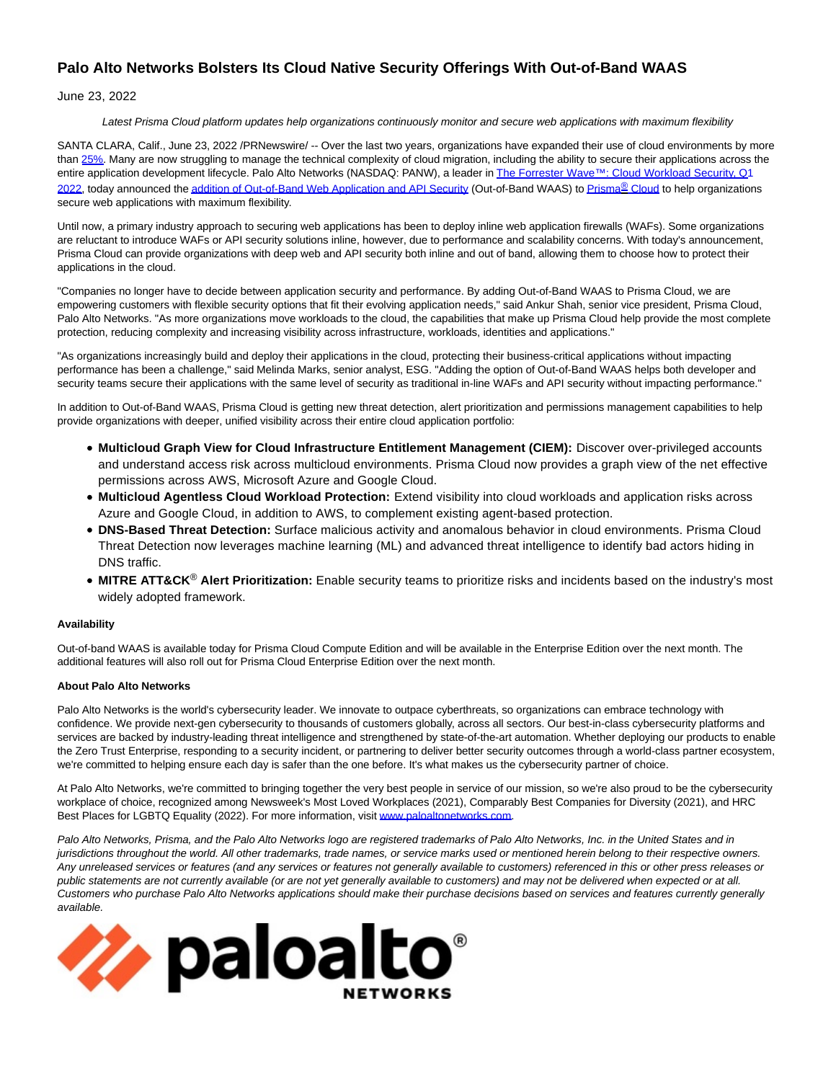## **Palo Alto Networks Bolsters Its Cloud Native Security Offerings With Out-of-Band WAAS**

June 23, 2022

Latest Prisma Cloud platform updates help organizations continuously monitor and secure web applications with maximum flexibility

SANTA CLARA, Calif., June 23, 2022 /PRNewswire/ -- Over the last two years, organizations have expanded their use of cloud environments by more than [25%.](https://www.paloaltonetworks.com/apps/pan/public/downloadResource?pagePath=/content/pan/en_US/resources/research/2022-state-of-cloud-native-security-report-exec-summary) Many are now struggling to manage the technical complexity of cloud migration, including the ability to secure their applications across the entire application development lifecycle. Palo Alto Networks (NASDAQ: PANW), a leader in The Forrester Wave™: Cloud Workload Security. Q1 2022, today announced th[e addition of Out-of-Band Web Application and API Security \(](https://www.paloaltonetworks.com/blog/2022/06/prisma-cloud-introduces-oob-waas)Out-of-Band WAAS) t[o Prisma](https://www.paloaltonetworks.com/prisma/cloud)[®](https://www.paloaltonetworks.com/prisma/cloud) [Cloud t](https://www.paloaltonetworks.com/prisma/cloud)o help organizations secure web applications with maximum flexibility.

Until now, a primary industry approach to securing web applications has been to deploy inline web application firewalls (WAFs). Some organizations are reluctant to introduce WAFs or API security solutions inline, however, due to performance and scalability concerns. With today's announcement, Prisma Cloud can provide organizations with deep web and API security both inline and out of band, allowing them to choose how to protect their applications in the cloud.

"Companies no longer have to decide between application security and performance. By adding Out-of-Band WAAS to Prisma Cloud, we are empowering customers with flexible security options that fit their evolving application needs," said Ankur Shah, senior vice president, Prisma Cloud, Palo Alto Networks. "As more organizations move workloads to the cloud, the capabilities that make up Prisma Cloud help provide the most complete protection, reducing complexity and increasing visibility across infrastructure, workloads, identities and applications."

"As organizations increasingly build and deploy their applications in the cloud, protecting their business-critical applications without impacting performance has been a challenge," said Melinda Marks, senior analyst, ESG. "Adding the option of Out-of-Band WAAS helps both developer and security teams secure their applications with the same level of security as traditional in-line WAFs and API security without impacting performance."

In addition to Out-of-Band WAAS, Prisma Cloud is getting new threat detection, alert prioritization and permissions management capabilities to help provide organizations with deeper, unified visibility across their entire cloud application portfolio:

- **Multicloud Graph View for Cloud Infrastructure Entitlement Management (CIEM):** Discover over-privileged accounts and understand access risk across multicloud environments. Prisma Cloud now provides a graph view of the net effective permissions across AWS, Microsoft Azure and Google Cloud.
- **Multicloud Agentless Cloud Workload Protection:** Extend visibility into cloud workloads and application risks across Azure and Google Cloud, in addition to AWS, to complement existing agent-based protection.
- **DNS-Based Threat Detection:** Surface malicious activity and anomalous behavior in cloud environments. Prisma Cloud Threat Detection now leverages machine learning (ML) and advanced threat intelligence to identify bad actors hiding in DNS traffic.
- **MITRE ATT&CK**® **Alert Prioritization:** Enable security teams to prioritize risks and incidents based on the industry's most widely adopted framework.

## **Availability**

Out-of-band WAAS is available today for Prisma Cloud Compute Edition and will be available in the Enterprise Edition over the next month. The additional features will also roll out for Prisma Cloud Enterprise Edition over the next month.

## **About Palo Alto Networks**

Palo Alto Networks is the world's cybersecurity leader. We innovate to outpace cyberthreats, so organizations can embrace technology with confidence. We provide next-gen cybersecurity to thousands of customers globally, across all sectors. Our best-in-class cybersecurity platforms and services are backed by industry-leading threat intelligence and strengthened by state-of-the-art automation. Whether deploying our products to enable the Zero Trust Enterprise, responding to a security incident, or partnering to deliver better security outcomes through a world-class partner ecosystem, we're committed to helping ensure each day is safer than the one before. It's what makes us the cybersecurity partner of choice.

At Palo Alto Networks, we're committed to bringing together the very best people in service of our mission, so we're also proud to be the cybersecurity workplace of choice, recognized among Newsweek's Most Loved Workplaces (2021), Comparably Best Companies for Diversity (2021), and HRC Best Places for LGBTQ Equality (2022). For more information, visi[t www.paloaltonetworks.com.](http://www.paloaltonetworks.com/)

Palo Alto Networks, Prisma, and the Palo Alto Networks logo are registered trademarks of Palo Alto Networks, Inc. in the United States and in jurisdictions throughout the world. All other trademarks, trade names, or service marks used or mentioned herein belong to their respective owners. Any unreleased services or features (and any services or features not generally available to customers) referenced in this or other press releases or public statements are not currently available (or are not yet generally available to customers) and may not be delivered when expected or at all. Customers who purchase Palo Alto Networks applications should make their purchase decisions based on services and features currently generally available.